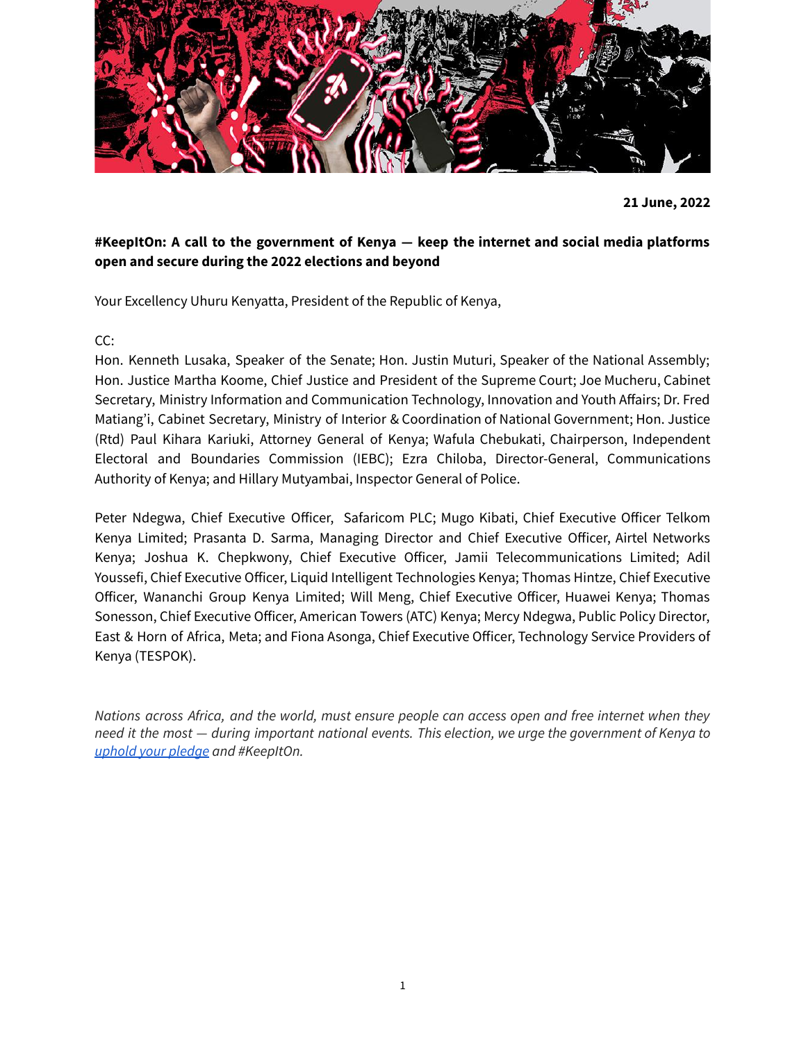

**21 June, 2022**

# **#KeepItOn: A call to the government of Kenya — keep the internet and social media platforms open and secure during the 2022 elections and beyond**

Your Excellency Uhuru Kenyatta, President of the Republic of Kenya,

CC:

Hon. Kenneth Lusaka, Speaker of the Senate; Hon. Justin Muturi, Speaker of the National Assembly; Hon. Justice Martha Koome, Chief Justice and President of the Supreme Court; Joe Mucheru, Cabinet Secretary, Ministry Information and Communication Technology, Innovation and Youth Affairs; Dr. Fred Matiang'i, Cabinet Secretary, Ministry of Interior & Coordination of National Government; Hon. Justice (Rtd) Paul Kihara Kariuki, Attorney General of Kenya; Wafula Chebukati, Chairperson, Independent Electoral and Boundaries Commission (IEBC); Ezra Chiloba, Director-General, Communications Authority of Kenya; and Hillary Mutyambai, Inspector General of Police.

Peter Ndegwa, Chief Executive Officer, Safaricom PLC; Mugo Kibati, Chief Executive Officer Telkom Kenya Limited; Prasanta D. Sarma, Managing Director and Chief Executive Officer, Airtel Networks Kenya; Joshua K. Chepkwony, Chief Executive Officer, Jamii Telecommunications Limited; Adil Youssefi, Chief Executive Officer, Liquid Intelligent Technologies Kenya; Thomas Hintze, Chief Executive Officer, Wananchi Group Kenya Limited; Will Meng, Chief Executive Officer, Huawei Kenya; Thomas Sonesson, Chief Executive Officer, American Towers (ATC) Kenya; Mercy Ndegwa, Public Policy Director, East & Horn of Africa, Meta; and Fiona Asonga, Chief Executive Officer, Technology Service Providers of Kenya (TESPOK).

*Nations across Africa, and the world, must ensure people can access open and free internet when they* need it the most - during important national events. This election, we urge the government of Kenya to *[uphold](https://www.standardmedia.co.ke/national/article/2001448071/cs-fred-matiangi-we-wont-shut-down-the-internet-during-august-9-polls) your pledge and #KeepItOn.*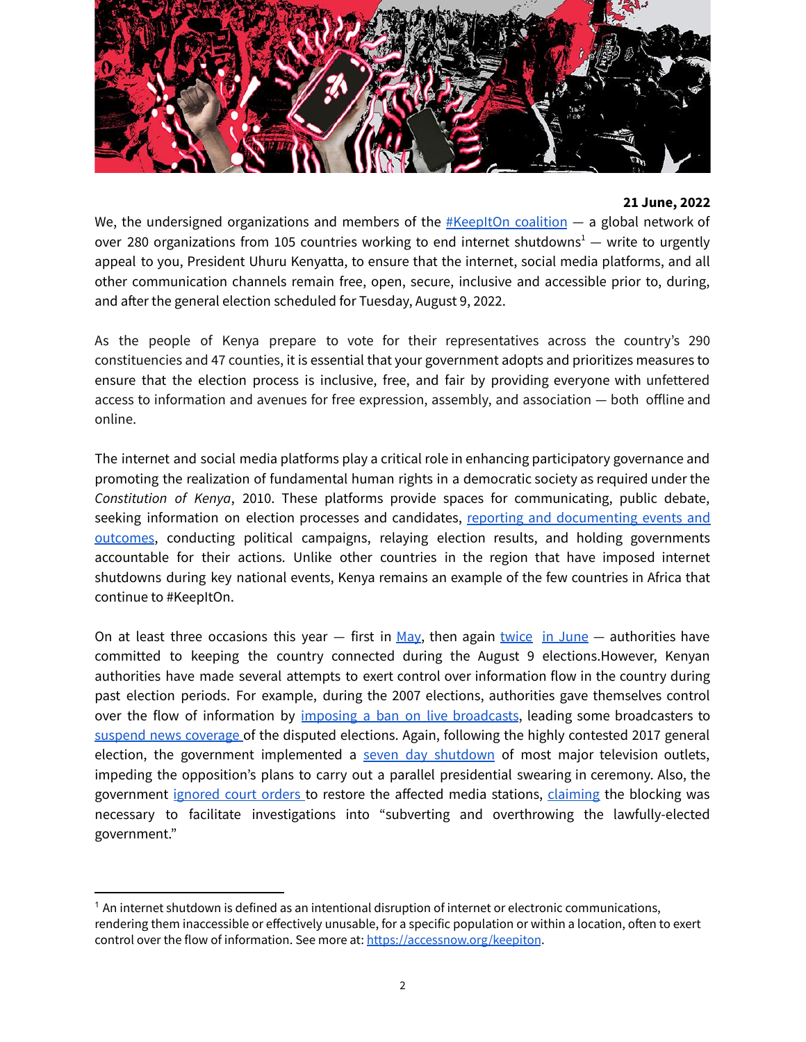

## **21 June, 2022**

We, the undersigned organizations and members of the  $#$ KeepItOn coalition  $-$  a global network of over 280 organizations from 105 countries working to end internet shutdowns<sup>1</sup> - write to urgently appeal to you, President Uhuru Kenyatta, to ensure that the internet, social media platforms, and all other communication channels remain free, open, secure, inclusive and accessible prior to, during, and after the general election scheduled for Tuesday, August 9, 2022.

As the people of Kenya prepare to vote for their representatives across the country's 290 constituencies and 47 counties, it is essential that your government adopts and prioritizes measures to ensure that the election process is inclusive, free, and fair by providing everyone with unfettered access to information and avenues for free expression, assembly, and association — both offline and online.

The internet and social media platforms play a critical role in enhancing participatory governance and promoting the realization of fundamental human rights in a democratic society as required under the *Constitution of Kenya*, 2010. These platforms provide spaces for communicating, public debate, seeking information on election processes and candidates, reporting and [documenting](https://www.africaportal.org/features/journalists-under-duress-internet-shutdowns-africa-are-stifling-press-freedom/) events and [outcomes](https://www.africaportal.org/features/journalists-under-duress-internet-shutdowns-africa-are-stifling-press-freedom/), conducting political campaigns, relaying election results, and holding governments accountable for their actions. Unlike other countries in the region that have imposed internet shutdowns during key national events, Kenya remains an example of the few countries in Africa that continue to #KeepItOn.

On at least three occasions this year  $-$  first in [May,](https://allafrica.com/stories/202205210024.html) then again [twice](https://www.the-star.co.ke/news/2022-06-09-we-wont-shut-down-internet-during-elections-matiangi/) in [June](https://www.standardmedia.co.ke/national/article/2001448071/cs-fred-matiangi-we-wont-shut-down-the-internet-during-august-9-polls)  $-$  authorities have committed to keeping the country connected during the August 9 elections.However, Kenyan authorities have made several attempts to exert control over information flow in the country during past election periods. For example, during the 2007 elections, authorities gave themselves control over the flow of information by imposing a ban on live [broadcasts](https://eisa.org/pdf/JAE7.2Ogenga.pdf), leading some broadcasters to suspend news [coverage](https://www.refworld.org/docid/47b1bbf72.html) of the disputed elections. Again, following the highly contested 2017 general election, the government implemented a seven day [shutdown](https://cpj.org/2018/01/kenya-cuts-tv-transmissions-over-live-coverage-of/) of most major television outlets, impeding the opposition's plans to carry out a parallel presidential swearing in ceremony. Also, the government [ignored](https://cpj.org/2018/02/kenyan-government-ignores-court-order-over-broadca/) court orders to restore the affected media stations, [claiming](https://www.reuters.com/article/us-kenya-politics-idUSKBN1FK1JQ) the blocking was necessary to facilitate investigations into "subverting and overthrowing the lawfully-elected government."

 $1$  An internet shutdown is defined as an intentional disruption of internet or electronic communications, rendering them inaccessible or effectively unusable, for a specific population or within a location, often to exert control over the flow of information. See more at: [https://accessnow.org/keepiton](https://accessnow.org/keepiton>).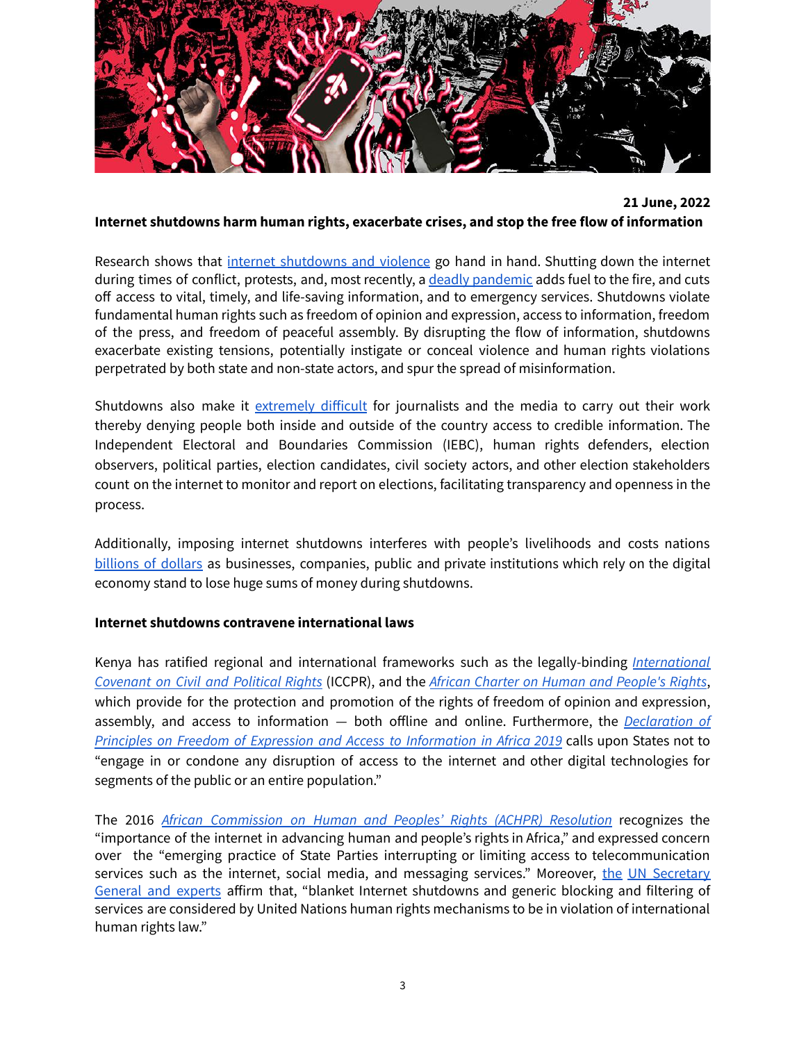

## **21 June, 2022 Internet shutdowns harm human rights, exacerbate crises, and stop the free flow of information**

Research shows that internet [shutdowns](http://www.anitagohdes.net/uploads/2/7/2/3/27235401/gohdes_synetworkaug14.pdf) and violence go hand in hand. Shutting down the internet during times of conflict, protests, and, most recently, a deadly [pandemic](https://www.accessnow.org/keepiton-internet-shutdowns-put-lives-at-risk-during-covid-19/) adds fuel to the fire, and cuts off access to vital, timely, and life-saving information, and to emergency services. Shutdowns violate fundamental human rights such as freedom of opinion and expression, access to information, freedom of the press, and freedom of peaceful assembly. By disrupting the flow of information, shutdowns exacerbate existing tensions, potentially instigate or conceal violence and human rights violations perpetrated by both state and non-state actors, and spur the spread of misinformation.

Shutdowns also make it [extremely](https://cpj.org/2021/05/journalists-shutdowns-myanmar-ethiopia-kashmir/) difficult for journalists and the media to carry out their work thereby denying people both inside and outside of the country access to credible information. The Independent Electoral and Boundaries Commission (IEBC), human rights defenders, election observers, political parties, election candidates, civil society actors, and other election stakeholders count on the internet to monitor and report on elections, facilitating transparency and openness in the process.

Additionally, imposing internet shutdowns interferes with people's livelihoods and costs nations [billions](https://www.top10vpn.com/research/cost-of-internet-shutdowns/) of dollars as businesses, companies, public and private institutions which rely on the digital economy stand to lose huge sums of money during shutdowns.

## **Internet shutdowns contravene international laws**

Kenya has ratified regional and international frameworks such as the legally-binding *[International](https://treaties.un.org/doc/publication/unts/volume%20999/volume-999-i-14668-english.pdf) [Covenant](https://treaties.un.org/doc/publication/unts/volume%20999/volume-999-i-14668-english.pdf) on Civil and Political Rights* (ICCPR), and the *African Charter on Human and [People's](https://www.achpr.org/legalinstruments/detail?id=49) Rights*, which provide for the protection and promotion of the rights of freedom of opinion and expression, assembly, and access to information — both offline and online. Furthermore, the *[Declaration](https://www.achpr.org/public/Document/file/English/Declaration%20of%20Principles%20on%20Freedom%20of%20Expression_ENG_2019.pdf) of Principles on Freedom of Expression and Access to [Information](https://www.achpr.org/public/Document/file/English/Declaration%20of%20Principles%20on%20Freedom%20of%20Expression_ENG_2019.pdf) in Africa 2019* calls upon States not to "engage in or condone any disruption of access to the internet and other digital technologies for segments of the public or an entire population."

The 2016 *African [Commission](https://www.achpr.org/sessions/resolutions?id=374) on Human and Peoples' Rights (ACHPR) Resolution* recognizes the "importance of the internet in advancing human and people's rights in Africa," and expressed concern over the "emerging practice of State Parties interrupting or limiting access to telecommunication services such as [the](https://www.osce.org/fom/154846) internet, social media, and messaging services." Moreover, the UN [Secretary](https://www.osce.org/fom/154846) [General](https://www.osce.org/fom/154846) and experts affirm that, "blanket Internet shutdowns and generic blocking and filtering of services are considered by United Nations human rights mechanisms to be in violation of international human rights law."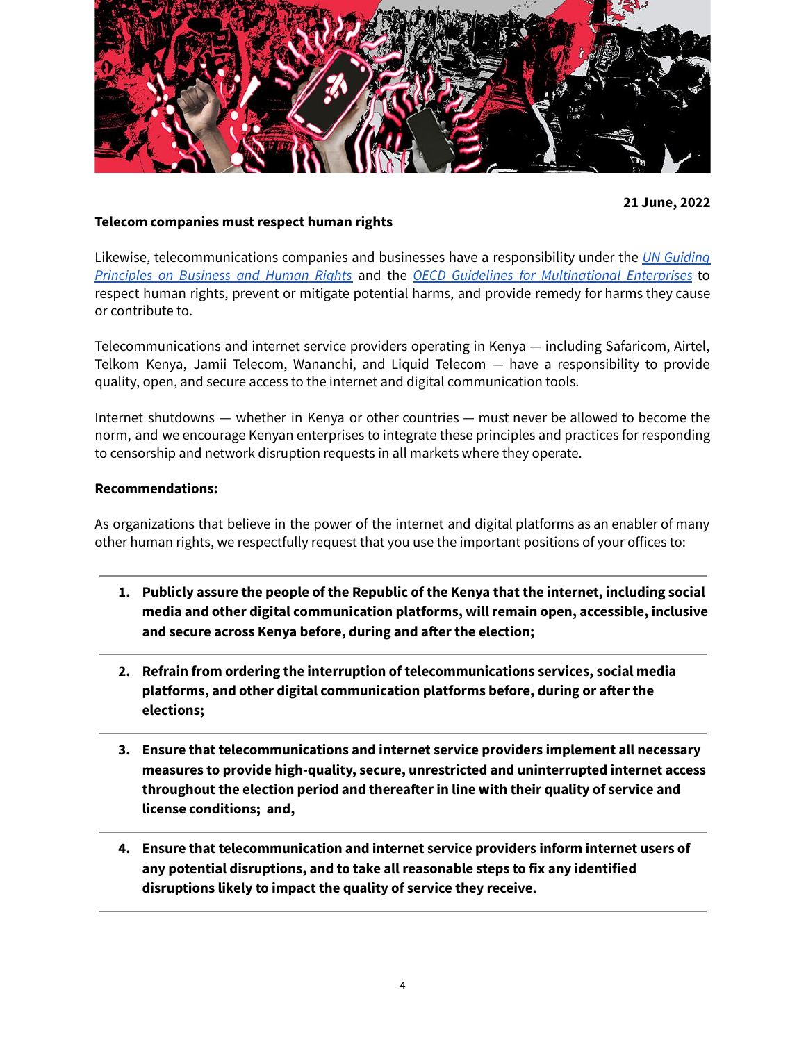

**21 June, 2022**

## **Telecom companies must respect human rights**

Likewise, telecommunications companies and businesses have a responsibility under the *UN [Guiding](https://www.ohchr.org/Documents/Publications/GuidingPrinciplesBusinessHR_EN.pdf) [Principles](https://www.ohchr.org/Documents/Publications/GuidingPrinciplesBusinessHR_EN.pdf) on Business and Human Rights* and the *OECD Guidelines for [Multinational](https://www.oecd.org/investment/mne/1903291.pdf) Enterprises* to respect human rights, prevent or mitigate potential harms, and provide remedy for harms they cause or contribute to.

Telecommunications and internet service providers operating in Kenya — including Safaricom, Airtel, Telkom Kenya, Jamii Telecom, Wananchi, and Liquid Telecom — have a responsibility to provide quality, open, and secure access to the internet and digital communication tools.

Internet shutdowns — whether in Kenya or other countries — must never be allowed to become the norm, and we encourage Kenyan enterprises to integrate these principles and practices for responding to censorship and network disruption requests in all markets where they operate.

#### **Recommendations:**

As organizations that believe in the power of the internet and digital platforms as an enabler of many other human rights, we respectfully request that you use the important positions of your offices to:

- **1. Publicly assure the people of the Republic of the Kenya that the internet, including social media and other digital communication platforms, will remain open, accessible, inclusive and secure across Kenya before, during and after the election;**
- **2. Refrain from ordering the interruption of telecommunications services, social media platforms, and other digital communication platforms before, during or after the elections;**
- **3. Ensure that telecommunications and internet service providers implement all necessary measures to provide high-quality, secure, unrestricted and uninterrupted internet access throughout the election period and thereafter in line with their quality of service and license conditions; and,**
- **4. Ensure that telecommunication and internet service providers inform internet users of any potential disruptions, and to take all reasonable steps to fix any identified disruptions likely to impact the quality of service they receive.**